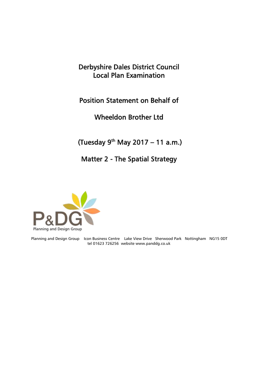## Derbyshire Dales District Council Local Plan Examination

## Position Statement on Behalf of

Wheeldon Brother Ltd

 $(Tuesday 9<sup>th</sup> May 2017 – 11 a.m.)$ 

## Matter 2 - The Spatial Strategy



Planning and Design Group Icon Business Centre Lake View Drive Sherwood Park Nottingham NG15 0DT tel 01623 726256 website www.panddg.co.uk